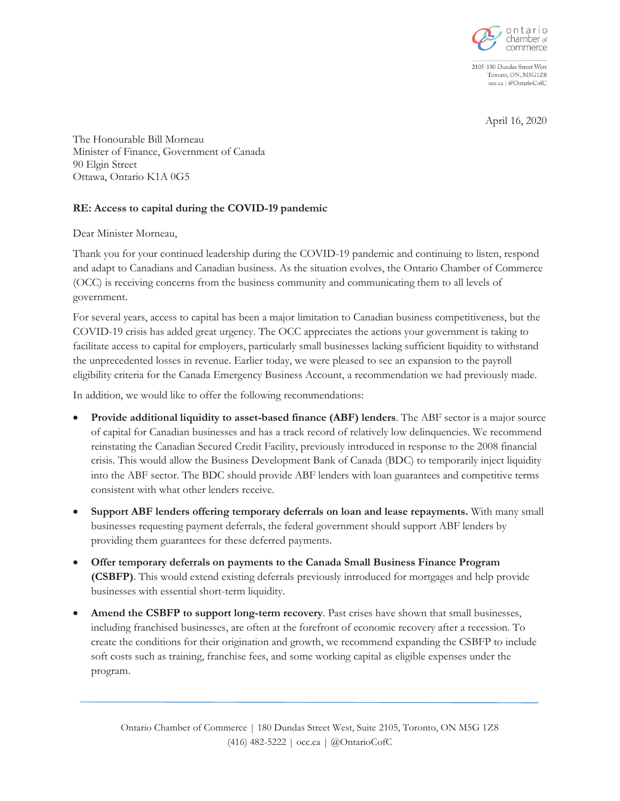

2105-180 Dundas Street West Toronto, ON, M5G1Z8 occ.ca | @OntarioCofC

April 16, 2020

The Honourable Bill Morneau Minister of Finance, Government of Canada 90 Elgin Street Ottawa, Ontario K1A 0G5

## **RE: Access to capital during the COVID-19 pandemic**

Dear Minister Morneau,

Thank you for your continued leadership during the COVID-19 pandemic and continuing to listen, respond and adapt to Canadians and Canadian business. As the situation evolves, the Ontario Chamber of Commerce (OCC) is receiving concerns from the business community and communicating them to all levels of government.

For several years, access to capital has been a major limitation to Canadian business competitiveness, but the COVID-19 crisis has added great urgency. The OCC appreciates the actions your government is taking to facilitate access to capital for employers, particularly small businesses lacking sufficient liquidity to withstand the unprecedented losses in revenue. Earlier today, we were pleased to see an expansion to the payroll eligibility criteria for the Canada Emergency Business Account, a recommendation we had previously made.

In addition, we would like to offer the following recommendations:

- **Provide additional liquidity to asset-based finance (ABF) lenders**. The ABF sector is a major source of capital for Canadian businesses and has a track record of relatively low delinquencies. We recommend reinstating the Canadian Secured Credit Facility, previously introduced in response to the 2008 financial crisis. This would allow the Business Development Bank of Canada (BDC) to temporarily inject liquidity into the ABF sector. The BDC should provide ABF lenders with loan guarantees and competitive terms consistent with what other lenders receive.
- **Support ABF lenders offering temporary deferrals on loan and lease repayments.** With many small businesses requesting payment deferrals, the federal government should support ABF lenders by providing them guarantees for these deferred payments.
- **Offer temporary deferrals on payments to the Canada Small Business Finance Program (CSBFP)**. This would extend existing deferrals previously introduced for mortgages and help provide businesses with essential short-term liquidity.
- **Amend the CSBFP to support long-term recovery**. Past crises have shown that small businesses, including franchised businesses, are often at the forefront of economic recovery after a recession. To create the conditions for their origination and growth, we recommend expanding the CSBFP to include soft costs such as training, franchise fees, and some working capital as eligible expenses under the program.